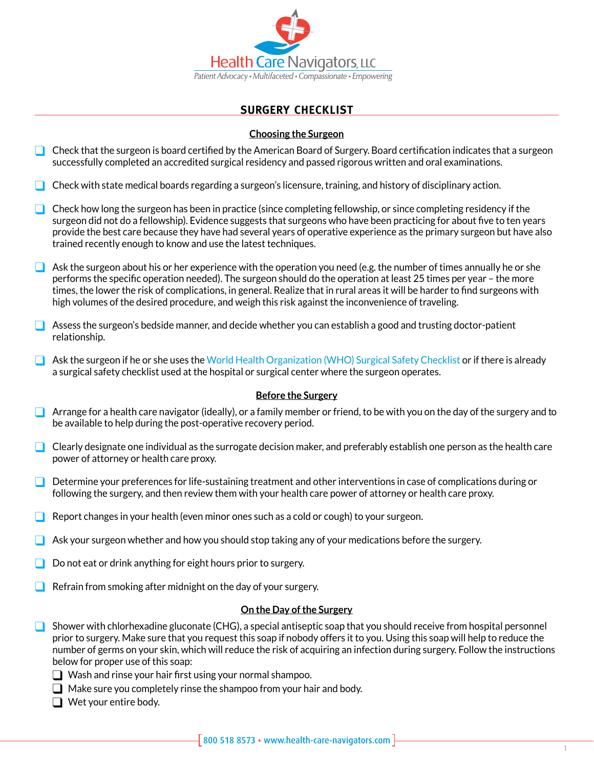

# **Surgery Checklist**

## **Choosing the Surgeon**

- $\Box$  Check that the surgeon is board certified by the American Board of Surgery. Board certification indicates that a surgeon successfully completed an accredited surgical residency and passed rigorous written and oral examinations.
- $\Box$  Check with state medical boards regarding a surgeon's licensure, training, and history of disciplinary action.
- $\Box$  Check how long the surgeon has been in practice (since completing fellowship, or since completing residency if the surgeon did not do a fellowship). Evidence suggests that surgeons who have been practicing for about five to ten years provide the best care because they have had several years of operative experience as the primary surgeon but have also trained recently enough to know and use the latest techniques.
- $\Box$  Ask the surgeon about his or her experience with the operation you need (e.g. the number of times annually he or she performs the specific operation needed). The surgeon should do the operation at least 25 times per year – the more times, the lower the risk of complications, in general. Realize that in rural areas it will be harder to find surgeons with high volumes of the desired procedure, and weigh this risk against the inconvenience of traveling.
- $\Box$  Assess the surgeon's bedside manner, and decide whether you can establish a good and trusting doctor-patient relationship.
- $\Box$  Ask the surgeon if he or she uses the [World Health Organization \(WHO\) Surgical Safety Checklist o](http://www.who.int/patientsafety/safesurgery/en/)r if there is already a surgical safety checklist used at the hospital or surgical center where the surgeon operates.

### **Before the Surgery**

- **Arrange for a health care navigator (ideally), or a family member or friend, to be with you on the day of the surgery and to** be available to help during the post-operative recovery period.
- $\Box$  Clearly designate one individual as the surrogate decision maker, and preferably establish one person as the health care power of attorney or health care proxy.
- $\Box$  Determine your preferences for life-sustaining treatment and other interventions in case of complications during or following the surgery, and then review them with your health care power of attorney or health care proxy.
- $\Box$  Report changes in your health (even minor ones such as a cold or cough) to your surgeon.
- $\Box$  Ask your surgeon whether and how you should stop taking any of your medications before the surgery.
- $\Box$  Do not eat or drink anything for eight hours prior to surgery.
- $\Box$  Refrain from smoking after midnight on the day of your surgery.

#### **On the Day of the Surgery**

- Shower with chlorhexadine gluconate (CHG), a special antiseptic soap that you should receive from hospital personnel prior to surgery. Make sure that you request this soap if nobody offers it to you. Using this soap will help to reduce the number of germs on your skin, which will reduce the risk of acquiring an infection during surgery. Follow the instructions below for proper use of this soap:
	- $\Box$  Wash and rinse your hair first using your normal shampoo.
	- $\Box$  Make sure you completely rinse the shampoo from your hair and body.
	- $\Box$  Wet your entire body.